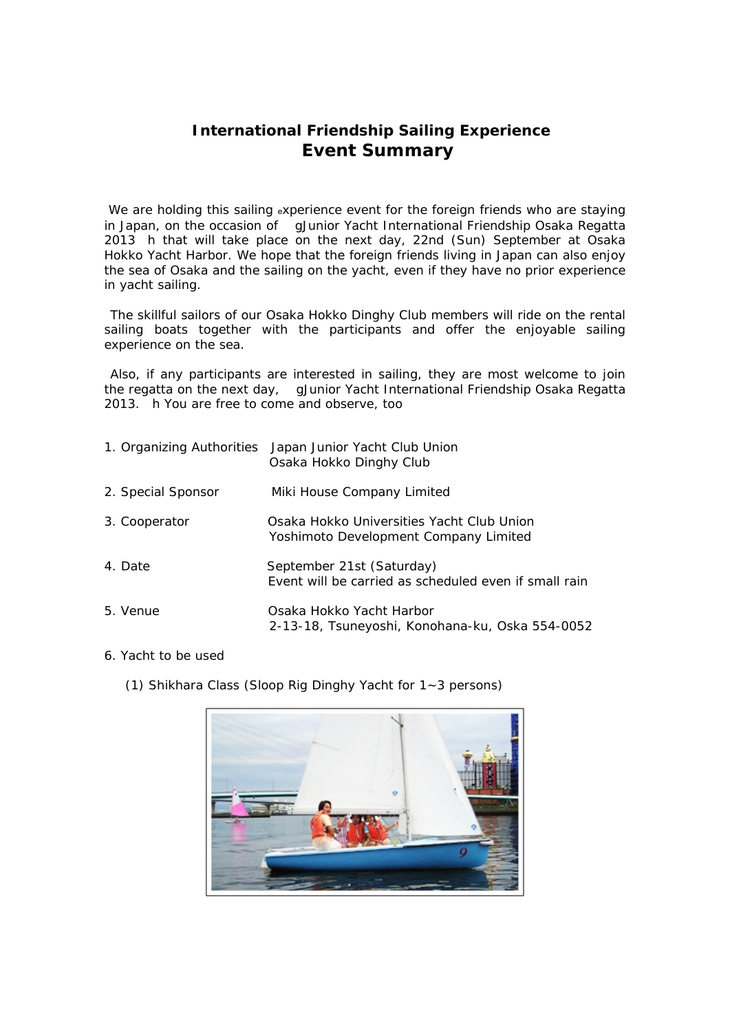## **International Friendship Sailing Experience Event Summary**

We are holding this sailing experience event for the foreign friends who are staying in Japan, on the occasion of gJunior Yacht International Friendship Osaka Regatta 2013 h that will take place on the next day, 22nd (Sun) September at Osaka Hokko Yacht Harbor. We hope that the foreign friends living in Japan can also enjoy the sea of Osaka and the sailing on the yacht, even if they have no prior experience in yacht sailing.

The skillful sailors of our Osaka Hokko Dinghy Club members will ride on the rental sailing boats together with the participants and offer the enjoyable sailing experience on the sea.

Also, if any participants are interested in sailing, they are most welcome to join the regatta on the next day, gJunior Yacht International Friendship Osaka Regatta 2013. h You are free to come and observe, too

| 1. Organizing Authorities | Japan Junior Yacht Club Union<br>Osaka Hokko Dinghy Club                           |
|---------------------------|------------------------------------------------------------------------------------|
| 2. Special Sponsor        | Miki House Company Limited                                                         |
| 3. Cooperator             | Osaka Hokko Universities Yacht Club Union<br>Yoshimoto Development Company Limited |
| 4. Date                   | September 21st (Saturday)<br>Event will be carried as scheduled even if small rain |
| 5. Venue                  | Osaka Hokko Yacht Harbor<br>2-13-18, Tsuneyoshi, Konohana-ku, Oska 554-0052        |

## 6. Yacht to be used

(1) Shikhara Class (Sloop Rig Dinghy Yacht for 1~3 persons)

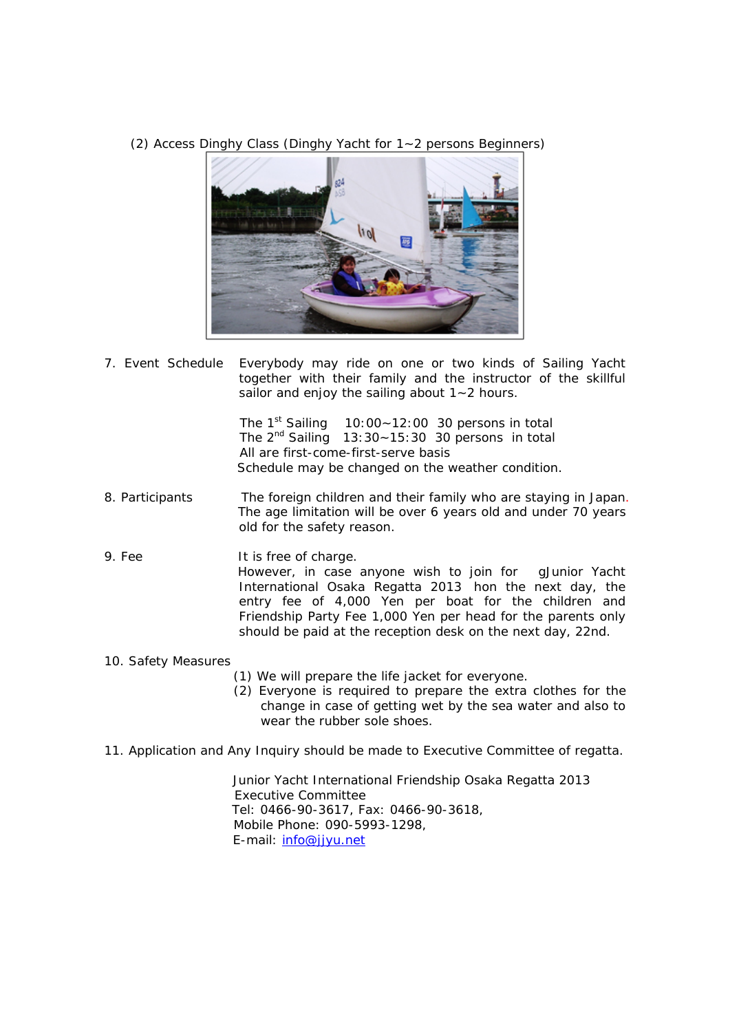(2) Access Dinghy Class (Dinghy Yacht for 1~2 persons Beginners)



7. Event Schedule Everybody may ride on one or two kinds of Sailing Yacht together with their family and the instructor of the skillful sailor and enjoy the sailing about 1~2 hours.

> The 1<sup>st</sup> Sailing 10:00 $\sim$ 12:00 30 persons in total The  $2^{nd}$  Sailing 13:30~15:30 30 persons in total All are first-come-first-serve basis Schedule may be changed on the weather condition.

- 8. Participants The foreign children and their family who are staying in Japan. The age limitation will be over 6 years old and under 70 years old for the safety reason.
- 9. Fee It is free of charge. However, in case anyone wish to join for gJunior Yacht International Osaka Regatta 2013 hon the next day, the entry fee of 4,000 Yen per boat for the children and Friendship Party Fee 1,000 Yen per head for the parents only should be paid at the reception desk on the next day, 22nd.

## 10. Safety Measures

- (1) We will prepare the life jacket for everyone.
- (2) Everyone is required to prepare the extra clothes for the change in case of getting wet by the sea water and also to wear the rubber sole shoes.
- 11. Application and Any Inquiry should be made to Executive Committee of regatta.

Junior Yacht International Friendship Osaka Regatta 2013 Executive Committee Tel: 0466-90-3617, Fax: 0466-90-3618, Mobile Phone: 090-5993-1298, E-mail: [info@jjyu.net](mailto:info@jjyu.net)